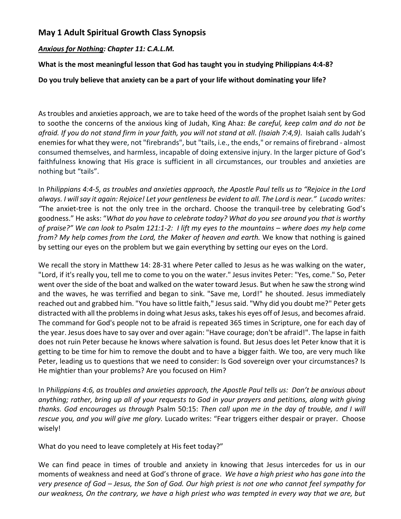# **May 1 Adult Spiritual Growth Class Synopsis**

#### *Anxious for Nothing: Chapter 11: C.A.L.M.*

## **What is the most meaningful lesson that God has taught you in studying Philippians 4:4-8?**

## **Do you truly believe that anxiety can be a part of your life without dominating your life?**

As troubles and anxieties approach, we are to take heed of the words of the prophet Isaiah sent by God to soothe the concerns of the anxious king of Judah, King Ahaz: *Be careful, keep calm and do not be afraid. If you do not stand firm in your faith, you will not stand at all. (Isaiah 7:4,9)*. Isaiah calls Judah's enemies for what they were, not "firebrands", but "tails, i.e., the ends," or remains of firebrand - almost consumed themselves, and harmless, incapable of doing extensive injury. In the larger picture of God's faithfulness knowing that His grace is sufficient in all circumstances, our troubles and anxieties are nothing but "tails".

In P*hilippians 4:4-5, as troubles and anxieties approach, the Apostle Paul tells us to "Rejoice in the Lord always. I will say it again: Rejoice! Let your gentleness be evident to all. The Lord is near." Lucado writes: "*The anxiet-tree is not the only tree in the orchard. Choose the tranquil-tree by celebrating God's goodness." He asks: "*What do you have to celebrate today? What do you see around you that is worthy of praise?" We can look to Psalm 121:1-2: I lift my eyes to the mountains – where does my help come from? My help comes from the Lord, the Maker of heaven and earth.* We know that nothing is gained by setting our eyes on the problem but we gain everything by setting our eyes on the Lord.

We recall the story in Matthew 14: 28-31 where Peter called to Jesus as he was walking on the water, "Lord, if it's really you, tell me to come to you on the water." Jesus invites Peter: "Yes, come." So, Peter went over the side of the boat and walked on the water toward Jesus. But when he saw the strong wind and the waves, he was terrified and began to sink. "Save me, Lord!" he shouted. Jesus immediately reached out and grabbed him. "You have so little faith," Jesus said. "Why did you doubt me?" Peter gets distracted with all the problems in doing what Jesus asks, takes his eyes off of Jesus, and becomes afraid. The command for God's people not to be afraid is repeated 365 times in Scripture, one for each day of the year. Jesus does have to say over and over again: "Have courage; don't be afraid!". The lapse in faith does not ruin Peter because he knows where salvation is found. But Jesus does let Peter know that it is getting to be time for him to remove the doubt and to have a bigger faith. We too, are very much like Peter, leading us to questions that we need to consider: Is God sovereign over your circumstances? Is He mightier than your problems? Are you focused on Him?

In P*hilippians 4:6, as troubles and anxieties approach, the Apostle Paul tells us: Don't be anxious about anything; rather, bring up all of your requests to God in your prayers and petitions, along with giving thanks. God encourages us through* Psalm 50:15: *Then call upon me in the day of trouble, and I will rescue you, and you will give me glory.* Lucado writes: "Fear triggers either despair or prayer. Choose wisely!

What do you need to leave completely at His feet today?"

We can find peace in times of trouble and anxiety in knowing that Jesus intercedes for us in our moments of weakness and need at God's throne of grace. *We have a high priest who has gone into the very presence of God – Jesus, the Son of God. Our high priest is not one who cannot feel sympathy for our weakness, On the contrary, we have a high priest who was tempted in every way that we are, but*